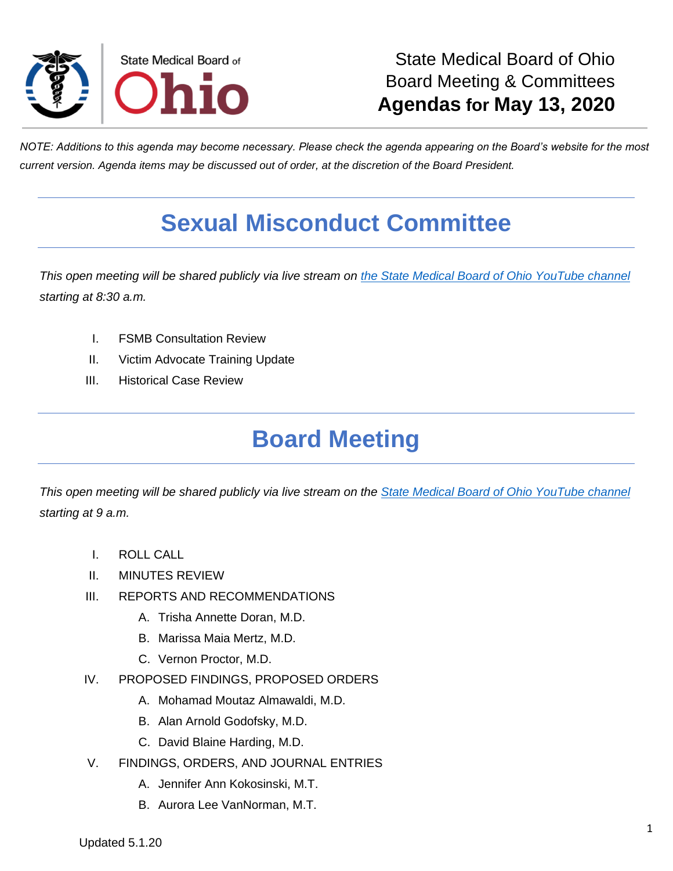

*NOTE: Additions to this agenda may become necessary. Please check the agenda appearing on the Board's website for the most current version. Agenda items may be discussed out of order, at the discretion of the Board President.*

## **Sexual Misconduct Committee**

*This open meeting will be shared publicly via live stream on [the State Medical Board of Ohio YouTube channel](https://www.youtube.com/channel/UCWBHBfwOyUtBZmBEZvtYPvA) starting at 8:30 a.m.*

- I. FSMB Consultation Review
- II. Victim Advocate Training Update
- III. Historical Case Review

## **Board Meeting**

*This open meeting will be shared publicly via live stream on the [State Medical Board of Ohio YouTube channel](https://www.youtube.com/channel/UCWBHBfwOyUtBZmBEZvtYPvA) starting at 9 a.m.*

- I. ROLL CALL
- II. MINUTES REVIEW
- III. REPORTS AND RECOMMENDATIONS
	- A. Trisha Annette Doran, M.D.
	- B. Marissa Maia Mertz, M.D.
	- C. Vernon Proctor, M.D.
- IV. PROPOSED FINDINGS, PROPOSED ORDERS
	- A. Mohamad Moutaz Almawaldi, M.D.
	- B. Alan Arnold Godofsky, M.D.
	- C. David Blaine Harding, M.D.
- V. FINDINGS, ORDERS, AND JOURNAL ENTRIES
	- A. Jennifer Ann Kokosinski, M.T.
	- B. Aurora Lee VanNorman, M.T.